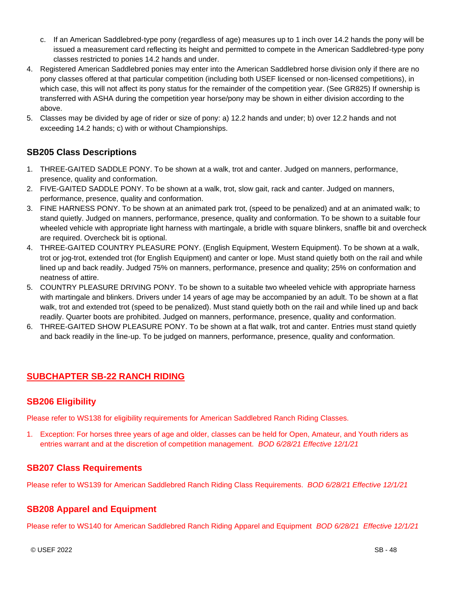- c. If an American Saddlebred-type pony (regardless of age) measures up to 1 inch over 14.2 hands the pony will be issued a measurement card reflecting its height and permitted to compete in the American Saddlebred-type pony classes restricted to ponies 14.2 hands and under.
- 4. Registered American Saddlebred ponies may enter into the American Saddlebred horse division only if there are no pony classes offered at that particular competition (including both USEF licensed or non-licensed competitions), in which case, this will not affect its pony status for the remainder of the competition year. (See GR825) If ownership is transferred with ASHA during the competition year horse/pony may be shown in either division according to the above.
- 5. Classes may be divided by age of rider or size of pony: a) 12.2 hands and under; b) over 12.2 hands and not exceeding 14.2 hands; c) with or without Championships.

# **SB205 Class Descriptions**

- 1. THREE-GAITED SADDLE PONY. To be shown at a walk, trot and canter. Judged on manners, performance, presence, quality and conformation.
- 2. FIVE-GAITED SADDLE PONY. To be shown at a walk, trot, slow gait, rack and canter. Judged on manners, performance, presence, quality and conformation.
- 3. FINE HARNESS PONY. To be shown at an animated park trot, (speed to be penalized) and at an animated walk; to stand quietly. Judged on manners, performance, presence, quality and conformation. To be shown to a suitable four wheeled vehicle with appropriate light harness with martingale, a bridle with square blinkers, snaffle bit and overcheck are required. Overcheck bit is optional.
- 4. THREE-GAITED COUNTRY PLEASURE PONY. (English Equipment, Western Equipment). To be shown at a walk, trot or jog-trot, extended trot (for English Equipment) and canter or lope. Must stand quietly both on the rail and while lined up and back readily. Judged 75% on manners, performance, presence and quality; 25% on conformation and neatness of attire.
- 5. COUNTRY PLEASURE DRIVING PONY. To be shown to a suitable two wheeled vehicle with appropriate harness with martingale and blinkers. Drivers under 14 years of age may be accompanied by an adult. To be shown at a flat walk, trot and extended trot (speed to be penalized). Must stand quietly both on the rail and while lined up and back readily. Quarter boots are prohibited. Judged on manners, performance, presence, quality and conformation.
- 6. THREE-GAITED SHOW PLEASURE PONY. To be shown at a flat walk, trot and canter. Entries must stand quietly and back readily in the line-up. To be judged on manners, performance, presence, quality and conformation.

# **SUBCHAPTER SB-22 RANCH RIDING**

# **SB206 Eligibility**

Please refer to WS138 for eligibility requirements for American Saddlebred Ranch Riding Classes.

1. Exception: For horses three years of age and older, classes can be held for Open, Amateur, and Youth riders as entries warrant and at the discretion of competition management. *BOD 6/28/21 Effective 12/1/21*

# **SB207 Class Requirements**

Please refer to WS139 for American Saddlebred Ranch Riding Class Requirements. *BOD 6/28/21 Effective 12/1/21*

# **SB208 Apparel and Equipment**

Please refer to WS140 for American Saddlebred Ranch Riding Apparel and Equipment *BOD 6/28/21 Effective 12/1/21*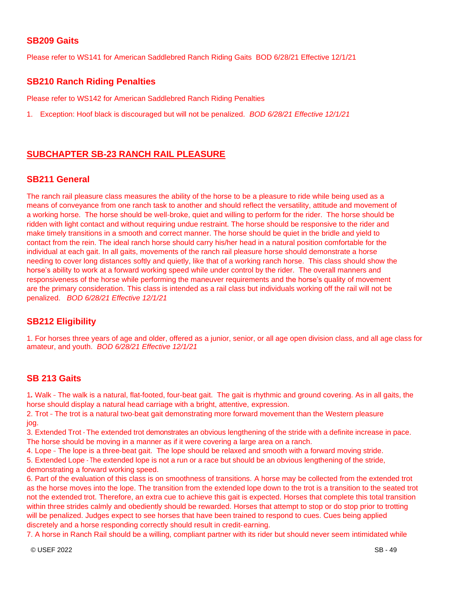#### **SB209 Gaits**

Please refer to WS141 for American Saddlebred Ranch Riding Gaits BOD 6/28/21 Effective 12/1/21

#### **SB210 Ranch Riding Penalties**

Please refer to WS142 for American Saddlebred Ranch Riding Penalties

1. Exception: Hoof black is discouraged but will not be penalized. *BOD 6/28/21 Effective 12/1/21*

# **SUBCHAPTER SB-23 RANCH RAIL PLEASURE**

#### **SB211 General**

The ranch rail pleasure class measures the ability of the horse to be a pleasure to ride while being used as a means of conveyance from one ranch task to another and should reflect the versatility, attitude and movement of a working horse. The horse should be well-broke, quiet and willing to perform for the rider. The horse should be ridden with light contact and without requiring undue restraint. The horse should be responsive to the rider and make timely transitions in a smooth and correct manner. The horse should be quiet in the bridle and yield to contact from the rein. The ideal ranch horse should carry his/her head in a natural position comfortable for the individual at each gait. In all gaits, movements of the ranch rail pleasure horse should demonstrate a horse needing to cover long distances softly and quietly, like that of a working ranch horse. This class should show the horse's ability to work at a forward working speed while under control by the rider. The overall manners and responsiveness of the horse while performing the maneuver requirements and the horse's quality of movement are the primary consideration. This class is intended as a rail class but individuals working off the rail will not be penalized. *BOD 6/28/21 Effective 12/1/21*

# **SB212 Eligibility**

1. For horses three years of age and older, offered as a junior, senior, or all age open division class, and all age class for amateur, and youth. *BOD 6/28/21 Effective 12/1/21*

#### **SB 213 Gaits**

1. Walk - The walk is a natural, flat-footed, four-beat gait. The gait is rhythmic and ground covering. As in all gaits, the horse should display a natural head carriage with a bright, attentive, expression.

2. Trot -- The trot is a natural two-beat gait demonstrating more forward movement than the Western pleasure jog.

3. Extended Trot - The extended trot demonstrates an obvious lengthening of the stride with a definite increase in pace. The horse should be moving in a manner as if it were covering a large area on a ranch.

4. Lope - The lope is a three-beat gait. The lope should be relaxed and smooth with a forward moving stride.

5. Extended Lope - The extended lope is not a run or a race but should be an obvious lengthening of the stride, demonstrating a forward working speed.

6. Part of the evaluation of this class is on smoothness of transitions. A horse may be collected from the extended trot as the horse moves into the lope. The transition from the extended lope down to the trot is a transition to the seated trot not the extended trot. Therefore, an extra cue to achieve this gait is expected. Horses that complete this total transition within three strides calmly and obediently should be rewarded. Horses that attempt to stop or do stop prior to trotting will be penalized. Judges expect to see horses that have been trained to respond to cues. Cues being applied discretely and a horse responding correctly should result in credit-earning.

7. A horse in Ranch Rail should be a willing, compliant partner with its rider but should never seem intimidated while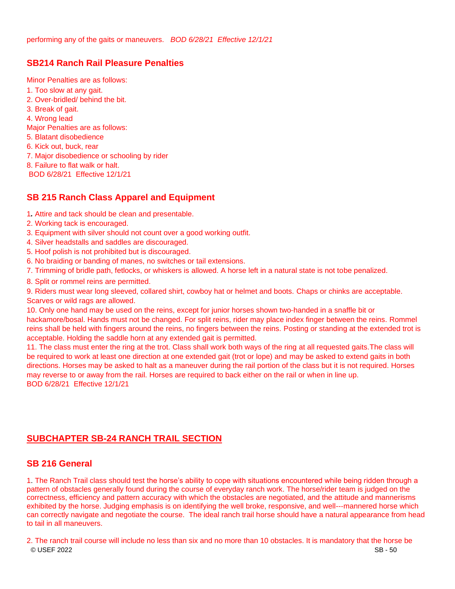# **SB214 Ranch Rail Pleasure Penalties**

Minor Penalties are as follows: 1. Too slow at any gait. 2. Over-bridled/ behind the bit. 3. Break of gait. 4. Wrong lead Major Penalties are as follows: 5. Blatant disobedience 6. Kick out, buck, rear 7. Major disobedience or schooling by rider 8. Failure to flat walk or halt. BOD 6/28/21 Effective 12/1/21

# **SB 215 Ranch Class Apparel and Equipment**

- 1*.* Attire and tack should be clean and presentable.
- 2. Working tack is encouraged.
- 3. Equipment with silver should not count over a good working outfit.
- 4. Silver headstalls and saddles are discouraged.
- 5. Hoof polish is not prohibited but is discouraged.
- 6. No braiding or banding of manes, no switches or tail extensions.
- 7. Trimming of bridle path, fetlocks, or whiskers is allowed. A horse left in a natural state is not tobe penalized.
- 8. Split or rommel reins are permitted.

9. Riders must wear long sleeved, collared shirt, cowboy hat or helmet and boots. Chaps or chinks are acceptable. Scarves or wild rags are allowed.

10. Only one hand may be used on the reins, except for junior horses shown two-handed in a snaffle bit or hackamore/bosal. Hands must not be changed. For split reins, rider may place index finger between the reins. Rommel reins shall be held with fingers around the reins, no fingers between the reins. Posting or standing at the extended trot is acceptable. Holding the saddle horn at any extended gait is permitted.

11. The class must enter the ring at the trot. Class shall work both ways of the ring at all requested gaits.The class will be required to work at least one direction at one extended gait (trot or lope) and may be asked to extend gaits in both directions. Horses may be asked to halt as a maneuver during the rail portion of the class but it is not required. Horses may reverse to or away from the rail. Horses are required to back either on the rail or when in line up. BOD 6/28/21 Effective 12/1/21

# **SUBCHAPTER SB-24 RANCH TRAIL SECTION**

#### **SB 216 General**

1. The Ranch Trail class should test the horse's ability to cope with situations encountered while being ridden through a pattern of obstacles generally found during the course of everyday ranch work. The horse/rider team is judged on the correctness, efficiency and pattern accuracy with which the obstacles are negotiated, and the attitude and mannerisms exhibited by the horse. Judging emphasis is on identifying the well broke, responsive, and well---mannered horse which can correctly navigate and negotiate the course. The ideal ranch trail horse should have a natural appearance from head to tail in all maneuvers.

© USEF 2022 SB - 50 2. The ranch trail course will include no less than six and no more than 10 obstacles. It is mandatory that the horse be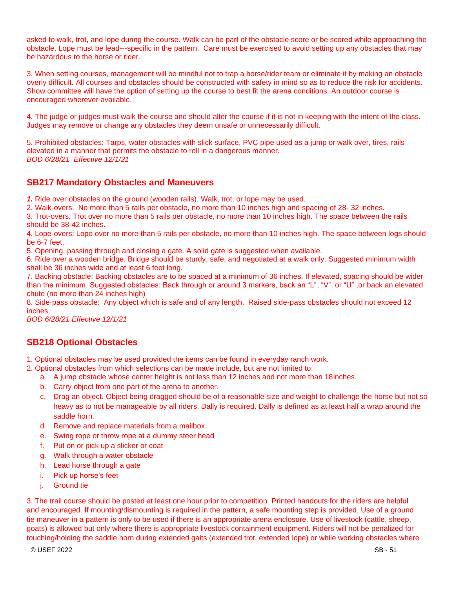asked to walk, trot, and lope during the course. Walk can be part of the obstacle score or be scored while approaching the obstacle. Lope must be lead---specific in the pattern. Care must be exercised to avoid setting up any obstacles that may be hazardous to the horse or rider.

3. When setting courses, management will be mindful not to trap a horse/rider team or eliminate it by making an obstacle overly difficult. All courses and obstacles should be constructed with safety in mind so as to reduce the risk for accidents. Show committee will have the option of setting up the course to best fit the arena conditions. An outdoor course is encouraged wherever available.

4. The judge or judges must walk the course and should alter the course if it is not in keeping with the intent of the class. Judges may remove or change any obstacles they deem unsafe or unnecessarily difficult.

5. Prohibited obstacles: Tarps, water obstacles with slick surface, PVC pipe used as a jump or walk over, tires, rails elevated in a manner that permits the obstacle to roll in a dangerous manner. *BOD 6/28/21 Effective 12/1/21*

#### **SB217 Mandatory Obstacles and Maneuvers**

*1.* Ride over obstacles on the ground (wooden rails). Walk, trot, or lope may be used.

2. Walk-overs. No more than 5 rails per obstacle, no more than 10 inches high and spacing of 28- 32 inches.

3. Trot-overs. Trot over no more than 5 rails per obstacle, no more than 10 inches high. The space between the rails should be 38-42 inches.

4. Lope‐overs: Lope over no more than 5 rails per obstacle, no more than 10 inches high. The space between logs should be 6‐7 feet.

5. Opening, passing through and closing a gate. A solid gate is suggested when available.

6. Ride over a wooden bridge. Bridge should be sturdy, safe, and negotiated at a walk only. Suggested minimum width shall be 36 inches wide and at least 6 feet long.

7. Backing obstacle: Backing obstacles are to be spaced at a minimum of 36 inches. If elevated, spacing should be wider than the minimum. Suggested obstacles: Back through or around 3 markers, back an "L", "V", or "U" ,or back an elevated chute (no more than 24 inches high)

8. Side-pass obstacle: Any object which is safe and of any length. Raised side-pass obstacles should not exceed 12 inches.

*BOD 6/28/21 Effective 12/1/21*

# **SB218 Optional Obstacles**

1. Optional obstacles may be used provided the items can be found in everyday ranch work.

2. Optional obstacles from which selections can be made include, but are not limited to:

- a. A jump obstacle whose center height is not less than 12 inches and not more than 18inches.
- b. Carry object from one part of the arena to another.
- c. Drag an object. Object being dragged should be of a reasonable size and weight to challenge the horse but not so heavy as to not be manageable by all riders. Dally is required. Dally is defined as at least half a wrap around the saddle horn.
- d. Remove and replace materials from a mailbox.
- e. Swing rope or throw rope at a dummy steer head
- f. Put on or pick up a slicker or coat
- g. Walk through a water obstacle
- h. Lead horse through a gate
- i. Pick up horse's feet
- i. Ground tie

3. The trail course should be posted at least one hour prior to competition. Printed handouts for the riders are helpful and encouraged. If mounting/dismounting is required in the pattern, a safe mounting step is provided. Use of a ground tie maneuver in a pattern is only to be used if there is an appropriate arena enclosure. Use of livestock (cattle, sheep, goats) is allowed but only where there is appropriate livestock containment equipment. Riders will not be penalized for touching/holding the saddle horn during extended gaits (extended trot, extended lope) or while working obstacles where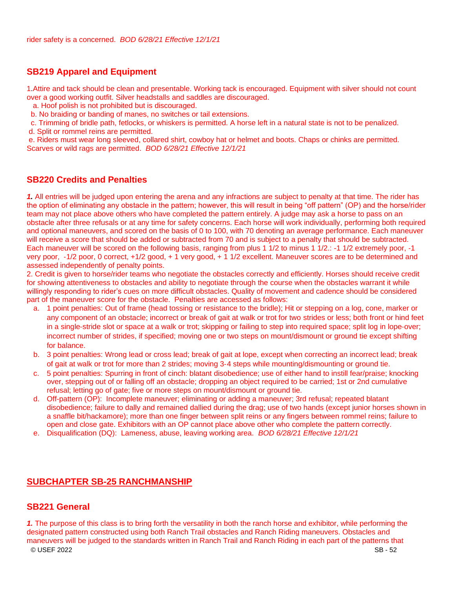# **SB219 Apparel and Equipment**

1.Attire and tack should be clean and presentable. Working tack is encouraged. Equipment with silver should not count over a good working outfit. Silver headstalls and saddles are discouraged.

a. Hoof polish is not prohibited but is discouraged.

b. No braiding or banding of manes, no switches or tail extensions.

c. Trimming of bridle path, fetlocks, or whiskers is permitted. A horse left in a natural state is not to be penalized.

d. Split or rommel reins are permitted.

e. Riders must wear long sleeved, collared shirt, cowboy hat or helmet and boots. Chaps or chinks are permitted. Scarves or wild rags are permitted. *BOD 6/28/21 Effective 12/1/21*

#### **SB220 Credits and Penalties**

*1.* All entries will be judged upon entering the arena and any infractions are subject to penalty at that time. The rider has the option of eliminating any obstacle in the pattern; however, this will result in being "off pattern" (OP) and the horse/rider team may not place above others who have completed the pattern entirely. A judge may ask a horse to pass on an obstacle after three refusals or at any time for safety concerns. Each horse will work individually, performing both required and optional maneuvers, and scored on the basis of 0 to 100, with 70 denoting an average performance. Each maneuver will receive a score that should be added or subtracted from 70 and is subject to a penalty that should be subtracted. Each maneuver will be scored on the following basis, ranging from plus 1 1/2 to minus 1 1/2.: -1 1/2 extremely poor, -1 very poor, ‐1/2 poor, 0 correct, +1/2 good, + 1 very good, + 1 1/2 excellent. Maneuver scores are to be determined and assessed independently of penalty points.

2. Credit is given to horse/rider teams who negotiate the obstacles correctly and efficiently. Horses should receive credit for showing attentiveness to obstacles and ability to negotiate through the course when the obstacles warrant it while willingly responding to rider's cues on more difficult obstacles. Quality of movement and cadence should be considered part of the maneuver score for the obstacle. Penalties are accessed as follows:

- a. 1 point penalties: Out of frame (head tossing or resistance to the bridle); Hit or stepping on a log, cone, marker or any component of an obstacle; incorrect or break of gait at walk or trot for two strides or less; both front or hind feet in a single-stride slot or space at a walk or trot; skipping or failing to step into required space; split log in lope-over; incorrect number of strides, if specified; moving one or two steps on mount/dismount or ground tie except shifting for balance.
- b. 3 point penalties: Wrong lead or cross lead; break of gait at lope, except when correcting an incorrect lead; break of gait at walk or trot for more than 2 strides; moving 3‐4 steps while mounting/dismounting or ground tie.
- c. 5 point penalties: Spurring in front of cinch: blatant disobedience; use of either hand to instill fear/praise; knocking over, stepping out of or falling off an obstacle; dropping an object required to be carried; 1st or 2nd cumulative refusal; letting go of gate; five or more steps on mount/dismount or ground tie.
- d. Off-pattern (OP): Incomplete maneuver; eliminating or adding a maneuver; 3rd refusal; repeated blatant disobedience; failure to dally and remained dallied during the drag; use of two hands (except junior horses shown in a snaffle bit/hackamore); more than one finger between split reins or any fingers between rommel reins; failure to open and close gate. Exhibitors with an OP cannot place above other who complete the pattern correctly.
- e. Disqualification (DQ): Lameness, abuse, leaving working area. *BOD 6/28/21 Effective 12/1/21*

# **SUBCHAPTER SB-25 RANCHMANSHIP**

#### **SB221 General**

© USEF 2022 SB - 52 *1.* The purpose of this class is to bring forth the versatility in both the ranch horse and exhibitor, while performing the designated pattern constructed using both Ranch Trail obstacles and Ranch Riding maneuvers. Obstacles and maneuvers will be judged to the standards written in Ranch Trail and Ranch Riding in each part of the patterns that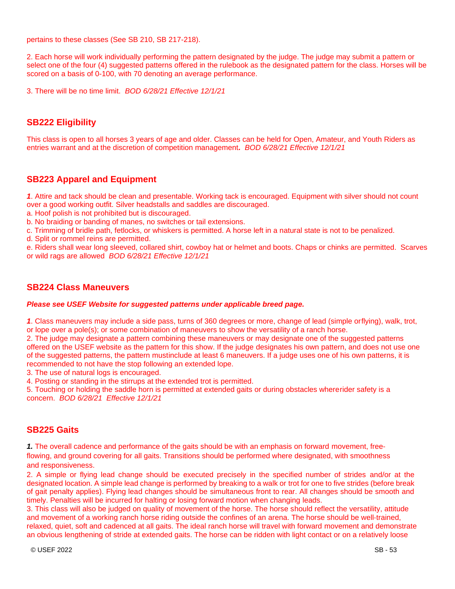pertains to these classes (See SB 210, SB 217-218).

2. Each horse will work individually performing the pattern designated by the judge. The judge may submit a pattern or select one of the four (4) suggested patterns offered in the rulebook as the designated pattern for the class. Horses will be scored on a basis of 0-100, with 70 denoting an average performance.

3. There will be no time limit. *BOD 6/28/21 Effective 12/1/21*

# **SB222 Eligibility**

This class is open to all horses 3 years of age and older. Classes can be held for Open, Amateur, and Youth Riders as entries warrant and at the discretion of competition management*. BOD 6/28/21 Effective 12/1/21*

#### **SB223 Apparel and Equipment**

*1*. Attire and tack should be clean and presentable. Working tack is encouraged. Equipment with silver should not count over a good working outfit. Silver headstalls and saddles are discouraged.

a. Hoof polish is not prohibited but is discouraged.

b. No braiding or banding of manes, no switches or tail extensions.

c. Trimming of bridle path, fetlocks, or whiskers is permitted. A horse left in a natural state is not to be penalized.

d. Split or rommel reins are permitted.

e. Riders shall wear long sleeved, collared shirt, cowboy hat or helmet and boots. Chaps or chinks are permitted. Scarves or wild rags are allowed *BOD 6/28/21 Effective 12/1/21*

#### **SB224 Class Maneuvers**

#### *Please see USEF Website for suggested patterns under applicable breed page.*

*1*. Class maneuvers may include a side pass, turns of 360 degrees or more, change of lead (simple orflying), walk, trot, or lope over a pole(s); or some combination of maneuvers to show the versatility of a ranch horse.

2. The judge may designate a pattern combining these maneuvers or may designate one of the suggested patterns offered on the USEF website as the pattern for this show. If the judge designates his own pattern, and does not use one of the suggested patterns, the pattern mustinclude at least 6 maneuvers. If a judge uses one of his own patterns, it is recommended to not have the stop following an extended lope.

3. The use of natural logs is encouraged.

4. Posting or standing in the stirrups at the extended trot is permitted.

5. Touching or holding the saddle horn is permitted at extended gaits or during obstacles whererider safety is a concern. *BOD 6/28/21 Effective 12/1/21*

#### **SB225 Gaits**

*1.* The overall cadence and performance of the gaits should be with an emphasis on forward movement, free--‐ flowing, and ground covering for all gaits. Transitions should be performed where designated, with smoothness and responsiveness.

2. A simple or flying lead change should be executed precisely in the specified number of strides and/or at the designated location. A simple lead change is performed by breaking to a walk or trot for one to five strides (before break of gait penalty applies). Flying lead changes should be simultaneous front to rear. All changes should be smooth and timely. Penalties will be incurred for halting or losing forward motion when changing leads.

3. This class will also be judged on quality of movement of the horse. The horse should reflect the versatility, attitude and movement of a working ranch horse riding outside the confines of an arena. The horse should be well-trained, relaxed, quiet, soft and cadenced at all gaits. The ideal ranch horse will travel with forward movement and demonstrate an obvious lengthening of stride at extended gaits. The horse can be ridden with light contact or on a relatively loose